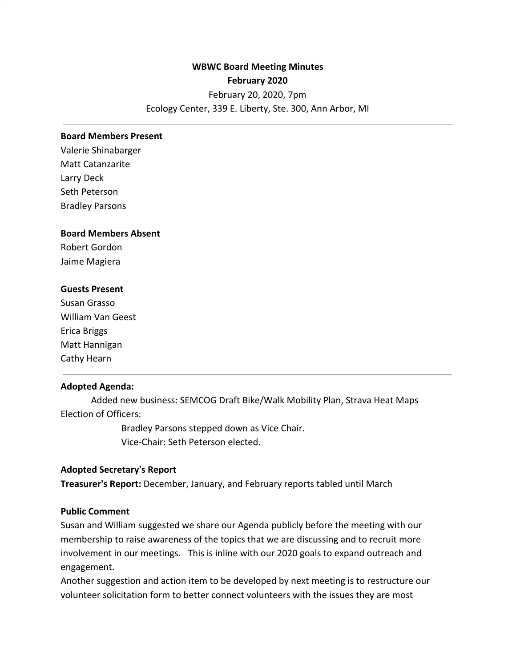# **WBWC Board Meeting Minutes February 2020** February 20, 2020, 7pm

### Ecology Center, 339 E. Liberty, Ste. 300, Ann Arbor, MI

#### **Board Members Present**

Valerie Shinabarger Matt Catanzarite Larry Deck Seth Peterson Bradley Parsons

#### **Board Members Absent**

Robert Gordon Jaime Magiera

### **Guests Present**

Susan Grasso William Van Geest Erica Briggs Matt Hannigan Cathy Hearn

### **Adopted Agenda:**

Added new business: SEMCOG Draft Bike/Walk Mobility Plan, Strava Heat Maps Election of Officers:

> Bradley Parsons stepped down as Vice Chair. Vice-Chair: Seth Peterson elected.

### **Adopted Secretary's Report**

**Treasurer's Report:** December, January, and February reports tabled until March

### **Public Comment**

Susan and William suggested we share our Agenda publicly before the meeting with our membership to raise awareness of the topics that we are discussing and to recruit more involvement in our meetings. This is inline with our 2020 goals to expand outreach and engagement.

Another suggestion and action item to be developed by next meeting is to restructure our volunteer solicitation form to better connect volunteers with the issues they are most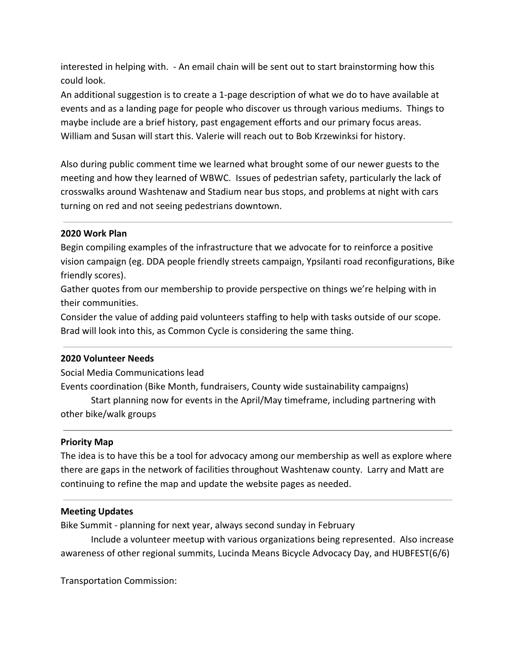interested in helping with. - An email chain will be sent out to start brainstorming how this could look.

An additional suggestion is to create a 1-page description of what we do to have available at events and as a landing page for people who discover us through various mediums. Things to maybe include are a brief history, past engagement efforts and our primary focus areas. William and Susan will start this. Valerie will reach out to Bob Krzewinksi for history.

Also during public comment time we learned what brought some of our newer guests to the meeting and how they learned of WBWC. Issues of pedestrian safety, particularly the lack of crosswalks around Washtenaw and Stadium near bus stops, and problems at night with cars turning on red and not seeing pedestrians downtown.

## **2020 Work Plan**

Begin compiling examples of the infrastructure that we advocate for to reinforce a positive vision campaign (eg. DDA people friendly streets campaign, Ypsilanti road reconfigurations, Bike friendly scores).

Gather quotes from our membership to provide perspective on things we're helping with in their communities.

Consider the value of adding paid volunteers staffing to help with tasks outside of our scope. Brad will look into this, as Common Cycle is considering the same thing.

## **2020 Volunteer Needs**

Social Media Communications lead

Events coordination (Bike Month, fundraisers, County wide sustainability campaigns)

Start planning now for events in the April/May timeframe, including partnering with other bike/walk groups

## **Priority Map**

The idea is to have this be a tool for advocacy among our membership as well as explore where there are gaps in the network of facilities throughout Washtenaw county. Larry and Matt are continuing to refine the map and update the website pages as needed.

## **Meeting Updates**

Bike Summit - planning for next year, always second sunday in February

Include a volunteer meetup with various organizations being represented. Also increase awareness of other regional summits, Lucinda Means Bicycle Advocacy Day, and HUBFEST(6/6)

Transportation Commission: